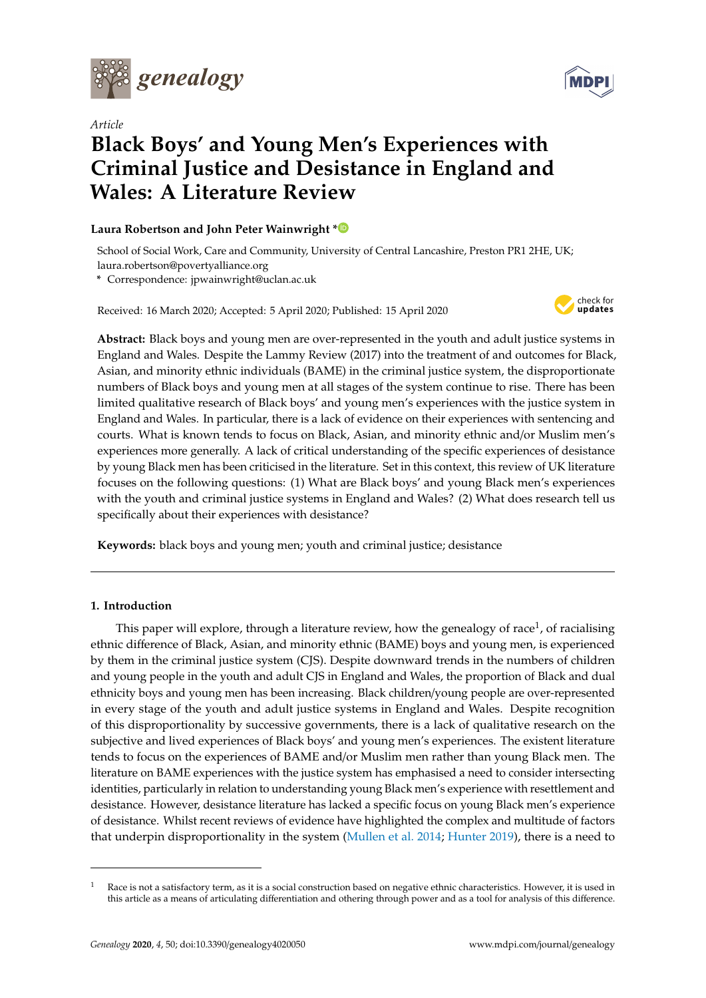

*Article*

# **Black Boys' and Young Men's Experiences with Criminal Justice and Desistance in England and Wales: A Literature Review**

# **Laura Robertson and John Peter Wainwright [\\*](https://orcid.org/0000-0002-8190-0144)**

School of Social Work, Care and Community, University of Central Lancashire, Preston PR1 2HE, UK; laura.robertson@povertyalliance.org

**\*** Correspondence: jpwainwright@uclan.ac.uk

Received: 16 March 2020; Accepted: 5 April 2020; Published: 15 April 2020



**Abstract:** Black boys and young men are over-represented in the youth and adult justice systems in England and Wales. Despite the Lammy Review (2017) into the treatment of and outcomes for Black, Asian, and minority ethnic individuals (BAME) in the criminal justice system, the disproportionate numbers of Black boys and young men at all stages of the system continue to rise. There has been limited qualitative research of Black boys' and young men's experiences with the justice system in England and Wales. In particular, there is a lack of evidence on their experiences with sentencing and courts. What is known tends to focus on Black, Asian, and minority ethnic and/or Muslim men's experiences more generally. A lack of critical understanding of the specific experiences of desistance by young Black men has been criticised in the literature. Set in this context, this review of UK literature focuses on the following questions: (1) What are Black boys' and young Black men's experiences with the youth and criminal justice systems in England and Wales? (2) What does research tell us specifically about their experiences with desistance?

**Keywords:** black boys and young men; youth and criminal justice; desistance

# **1. Introduction**

This paper will explore, through a literature review, how the genealogy of race<sup>1</sup>, of racialising ethnic difference of Black, Asian, and minority ethnic (BAME) boys and young men, is experienced by them in the criminal justice system (CJS). Despite downward trends in the numbers of children and young people in the youth and adult CJS in England and Wales, the proportion of Black and dual ethnicity boys and young men has been increasing. Black children/young people are over-represented in every stage of the youth and adult justice systems in England and Wales. Despite recognition of this disproportionality by successive governments, there is a lack of qualitative research on the subjective and lived experiences of Black boys' and young men's experiences. The existent literature tends to focus on the experiences of BAME and/or Muslim men rather than young Black men. The literature on BAME experiences with the justice system has emphasised a need to consider intersecting identities, particularly in relation to understanding young Black men's experience with resettlement and desistance. However, desistance literature has lacked a specific focus on young Black men's experience of desistance. Whilst recent reviews of evidence have highlighted the complex and multitude of factors that underpin disproportionality in the system [\(Mullen et al.](#page-12-0) [2014;](#page-12-0) [Hunter](#page-11-0) [2019\)](#page-11-0), there is a need to



 $1$  Race is not a satisfactory term, as it is a social construction based on negative ethnic characteristics. However, it is used in this article as a means of articulating differentiation and othering through power and as a tool for analysis of this difference.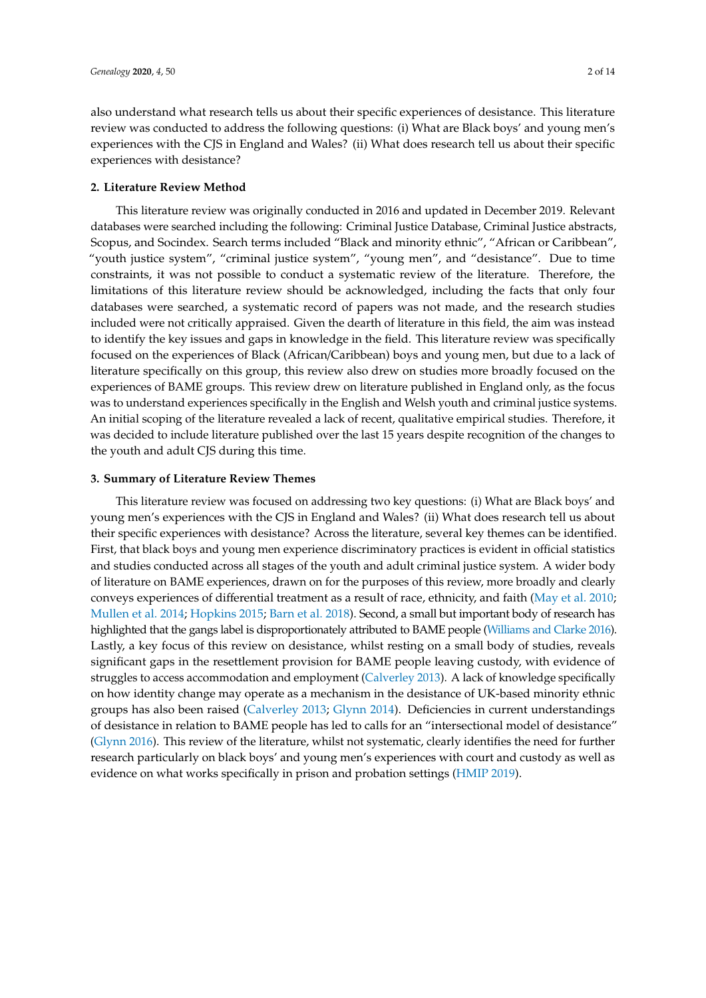also understand what research tells us about their specific experiences of desistance. This literature review was conducted to address the following questions: (i) What are Black boys' and young men's experiences with the CJS in England and Wales? (ii) What does research tell us about their specific experiences with desistance?

# **2. Literature Review Method**

This literature review was originally conducted in 2016 and updated in December 2019. Relevant databases were searched including the following: Criminal Justice Database, Criminal Justice abstracts, Scopus, and Socindex. Search terms included "Black and minority ethnic", "African or Caribbean", "youth justice system", "criminal justice system", "young men", and "desistance". Due to time constraints, it was not possible to conduct a systematic review of the literature. Therefore, the limitations of this literature review should be acknowledged, including the facts that only four databases were searched, a systematic record of papers was not made, and the research studies included were not critically appraised. Given the dearth of literature in this field, the aim was instead to identify the key issues and gaps in knowledge in the field. This literature review was specifically focused on the experiences of Black (African/Caribbean) boys and young men, but due to a lack of literature specifically on this group, this review also drew on studies more broadly focused on the experiences of BAME groups. This review drew on literature published in England only, as the focus was to understand experiences specifically in the English and Welsh youth and criminal justice systems. An initial scoping of the literature revealed a lack of recent, qualitative empirical studies. Therefore, it was decided to include literature published over the last 15 years despite recognition of the changes to the youth and adult CJS during this time.

#### **3. Summary of Literature Review Themes**

This literature review was focused on addressing two key questions: (i) What are Black boys' and young men's experiences with the CJS in England and Wales? (ii) What does research tell us about their specific experiences with desistance? Across the literature, several key themes can be identified. First, that black boys and young men experience discriminatory practices is evident in official statistics and studies conducted across all stages of the youth and adult criminal justice system. A wider body of literature on BAME experiences, drawn on for the purposes of this review, more broadly and clearly conveys experiences of differential treatment as a result of race, ethnicity, and faith [\(May et al.](#page-11-1) [2010;](#page-11-1) [Mullen et al.](#page-12-0) [2014;](#page-12-0) [Hopkins](#page-11-2) [2015;](#page-11-2) [Barn et al.](#page-10-0) [2018\)](#page-10-0). Second, a small but important body of research has highlighted that the gangs label is disproportionately attributed to BAME people [\(Williams and Clarke](#page-13-0) [2016\)](#page-13-0). Lastly, a key focus of this review on desistance, whilst resting on a small body of studies, reveals significant gaps in the resettlement provision for BAME people leaving custody, with evidence of struggles to access accommodation and employment [\(Calverley](#page-10-1) [2013\)](#page-10-1). A lack of knowledge specifically on how identity change may operate as a mechanism in the desistance of UK-based minority ethnic groups has also been raised [\(Calverley](#page-10-1) [2013;](#page-10-1) [Glynn](#page-11-3) [2014\)](#page-11-3). Deficiencies in current understandings of desistance in relation to BAME people has led to calls for an "intersectional model of desistance" [\(Glynn](#page-11-4) [2016\)](#page-11-4). This review of the literature, whilst not systematic, clearly identifies the need for further research particularly on black boys' and young men's experiences with court and custody as well as evidence on what works specifically in prison and probation settings [\(HMIP](#page-11-5) [2019\)](#page-11-5).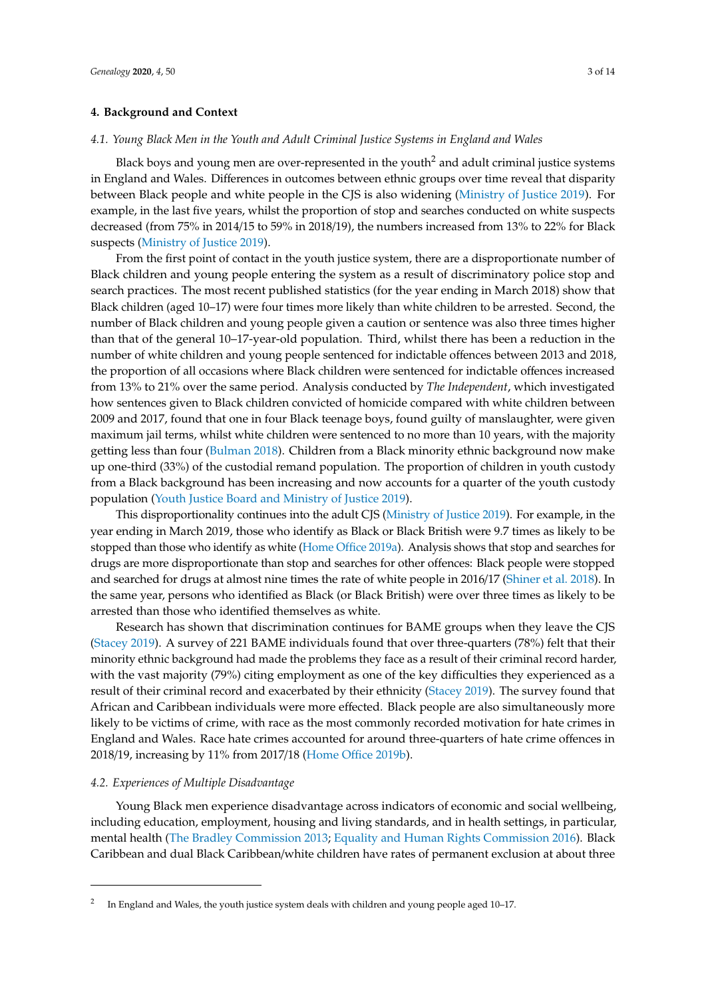# **4. Background and Context**

# *4.1. Young Black Men in the Youth and Adult Criminal Justice Systems in England and Wales*

Black boys and young men are over-represented in the youth<sup>2</sup> and adult criminal justice systems in England and Wales. Differences in outcomes between ethnic groups over time reveal that disparity between Black people and white people in the CJS is also widening [\(Ministry of Justice](#page-12-1) [2019\)](#page-12-1). For example, in the last five years, whilst the proportion of stop and searches conducted on white suspects decreased (from 75% in 2014/15 to 59% in 2018/19), the numbers increased from 13% to 22% for Black suspects [\(Ministry of Justice](#page-12-1) [2019\)](#page-12-1).

From the first point of contact in the youth justice system, there are a disproportionate number of Black children and young people entering the system as a result of discriminatory police stop and search practices. The most recent published statistics (for the year ending in March 2018) show that Black children (aged 10–17) were four times more likely than white children to be arrested. Second, the number of Black children and young people given a caution or sentence was also three times higher than that of the general 10–17-year-old population. Third, whilst there has been a reduction in the number of white children and young people sentenced for indictable offences between 2013 and 2018, the proportion of all occasions where Black children were sentenced for indictable offences increased from 13% to 21% over the same period. Analysis conducted by *The Independent*, which investigated how sentences given to Black children convicted of homicide compared with white children between 2009 and 2017, found that one in four Black teenage boys, found guilty of manslaughter, were given maximum jail terms, whilst white children were sentenced to no more than 10 years, with the majority getting less than four [\(Bulman](#page-10-2) [2018\)](#page-10-2). Children from a Black minority ethnic background now make up one-third (33%) of the custodial remand population. The proportion of children in youth custody from a Black background has been increasing and now accounts for a quarter of the youth custody population [\(Youth Justice Board and Ministry of Justice](#page-13-1) [2019\)](#page-13-1).

This disproportionality continues into the adult CJS [\(Ministry of Justice](#page-12-1) [2019\)](#page-12-1). For example, in the year ending in March 2019, those who identify as Black or Black British were 9.7 times as likely to be stopped than those who identify as white [\(Home Office](#page-11-6) [2019a\)](#page-11-6). Analysis shows that stop and searches for drugs are more disproportionate than stop and searches for other offences: Black people were stopped and searched for drugs at almost nine times the rate of white people in 2016/17 [\(Shiner et al.](#page-12-2) [2018\)](#page-12-2). In the same year, persons who identified as Black (or Black British) were over three times as likely to be arrested than those who identified themselves as white.

Research has shown that discrimination continues for BAME groups when they leave the CJS [\(Stacey](#page-12-3) [2019\)](#page-12-3). A survey of 221 BAME individuals found that over three-quarters (78%) felt that their minority ethnic background had made the problems they face as a result of their criminal record harder, with the vast majority (79%) citing employment as one of the key difficulties they experienced as a result of their criminal record and exacerbated by their ethnicity [\(Stacey](#page-12-3) [2019\)](#page-12-3). The survey found that African and Caribbean individuals were more effected. Black people are also simultaneously more likely to be victims of crime, with race as the most commonly recorded motivation for hate crimes in England and Wales. Race hate crimes accounted for around three-quarters of hate crime offences in 2018/19, increasing by 11% from 2017/18 [\(Home O](#page-11-7)ffice [2019b\)](#page-11-7).

# *4.2. Experiences of Multiple Disadvantage*

Young Black men experience disadvantage across indicators of economic and social wellbeing, including education, employment, housing and living standards, and in health settings, in particular, mental health [\(The Bradley Commission](#page-12-4) [2013;](#page-12-4) [Equality and Human Rights Commission](#page-10-3) [2016\)](#page-10-3). Black Caribbean and dual Black Caribbean/white children have rates of permanent exclusion at about three

<sup>2</sup> In England and Wales, the youth justice system deals with children and young people aged 10–17.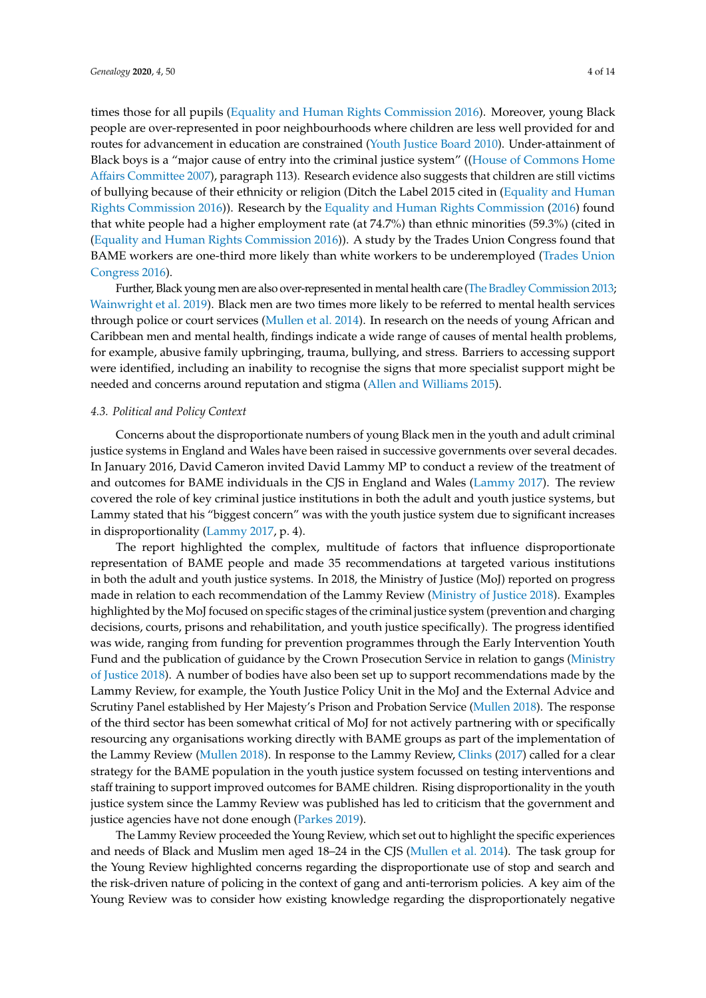times those for all pupils [\(Equality and Human Rights Commission](#page-10-3) [2016\)](#page-10-3). Moreover, young Black people are over-represented in poor neighbourhoods where children are less well provided for and routes for advancement in education are constrained [\(Youth Justice Board](#page-13-2) [2010\)](#page-13-2). Under-attainment of Black boys is a "major cause of entry into the criminal justice system" ([\(House of Commons Home](#page-11-8) Aff[airs Committee](#page-11-8) [2007\)](#page-11-8), paragraph 113). Research evidence also suggests that children are still victims of bullying because of their ethnicity or religion (Ditch the Label 2015 cited in [\(Equality and Human](#page-10-3) [Rights Commission](#page-10-3) [2016\)](#page-10-3)). Research by the [Equality and Human Rights Commission](#page-10-3) [\(2016\)](#page-10-3) found that white people had a higher employment rate (at 74.7%) than ethnic minorities (59.3%) (cited in [\(Equality and Human Rights Commission](#page-10-3) [2016\)](#page-10-3)). A study by the Trades Union Congress found that BAME workers are one-third more likely than white workers to be underemployed [\(Trades Union](#page-12-5) [Congress](#page-12-5) [2016\)](#page-12-5).

Further, Black young men are also over-represented in mental health care [\(The Bradley Commission](#page-12-4) [2013;](#page-12-4) [Wainwright et al.](#page-12-6) [2019\)](#page-12-6). Black men are two times more likely to be referred to mental health services through police or court services [\(Mullen et al.](#page-12-0) [2014\)](#page-12-0). In research on the needs of young African and Caribbean men and mental health, findings indicate a wide range of causes of mental health problems, for example, abusive family upbringing, trauma, bullying, and stress. Barriers to accessing support were identified, including an inability to recognise the signs that more specialist support might be needed and concerns around reputation and stigma [\(Allen and Williams](#page-10-4) [2015\)](#page-10-4).

#### *4.3. Political and Policy Context*

Concerns about the disproportionate numbers of young Black men in the youth and adult criminal justice systems in England and Wales have been raised in successive governments over several decades. In January 2016, David Cameron invited David Lammy MP to conduct a review of the treatment of and outcomes for BAME individuals in the CJS in England and Wales [\(Lammy](#page-11-9) [2017\)](#page-11-9). The review covered the role of key criminal justice institutions in both the adult and youth justice systems, but Lammy stated that his "biggest concern" was with the youth justice system due to significant increases in disproportionality [\(Lammy](#page-11-9) [2017,](#page-11-9) p. 4).

The report highlighted the complex, multitude of factors that influence disproportionate representation of BAME people and made 35 recommendations at targeted various institutions in both the adult and youth justice systems. In 2018, the Ministry of Justice (MoJ) reported on progress made in relation to each recommendation of the Lammy Review [\(Ministry of Justice](#page-12-7) [2018\)](#page-12-7). Examples highlighted by the MoJ focused on specific stages of the criminal justice system (prevention and charging decisions, courts, prisons and rehabilitation, and youth justice specifically). The progress identified was wide, ranging from funding for prevention programmes through the Early Intervention Youth Fund and the publication of guidance by the Crown Prosecution Service in relation to gangs [\(Ministry](#page-12-7) [of Justice](#page-12-7) [2018\)](#page-12-7). A number of bodies have also been set up to support recommendations made by the Lammy Review, for example, the Youth Justice Policy Unit in the MoJ and the External Advice and Scrutiny Panel established by Her Majesty's Prison and Probation Service [\(Mullen](#page-12-8) [2018\)](#page-12-8). The response of the third sector has been somewhat critical of MoJ for not actively partnering with or specifically resourcing any organisations working directly with BAME groups as part of the implementation of the Lammy Review [\(Mullen](#page-12-8) [2018\)](#page-12-8). In response to the Lammy Review, [Clinks](#page-10-5) [\(2017\)](#page-10-5) called for a clear strategy for the BAME population in the youth justice system focussed on testing interventions and staff training to support improved outcomes for BAME children. Rising disproportionality in the youth justice system since the Lammy Review was published has led to criticism that the government and justice agencies have not done enough [\(Parkes](#page-12-9) [2019\)](#page-12-9).

The Lammy Review proceeded the Young Review, which set out to highlight the specific experiences and needs of Black and Muslim men aged 18–24 in the CJS [\(Mullen et al.](#page-12-0) [2014\)](#page-12-0). The task group for the Young Review highlighted concerns regarding the disproportionate use of stop and search and the risk-driven nature of policing in the context of gang and anti-terrorism policies. A key aim of the Young Review was to consider how existing knowledge regarding the disproportionately negative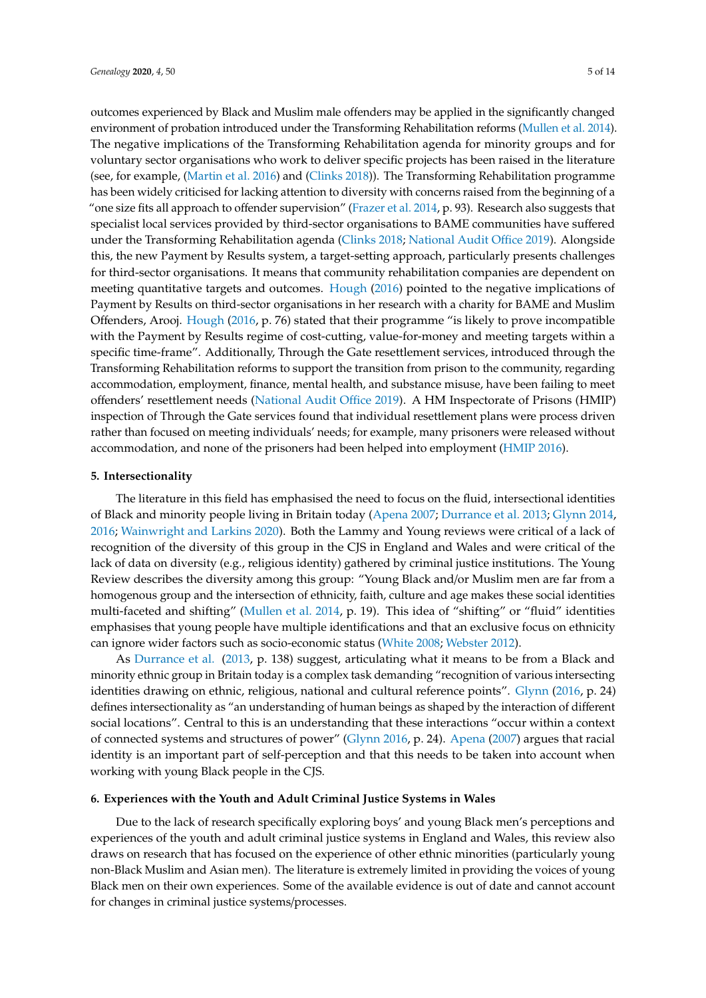outcomes experienced by Black and Muslim male offenders may be applied in the significantly changed environment of probation introduced under the Transforming Rehabilitation reforms [\(Mullen et al.](#page-12-0) [2014\)](#page-12-0). The negative implications of the Transforming Rehabilitation agenda for minority groups and for voluntary sector organisations who work to deliver specific projects has been raised in the literature (see, for example, [\(Martin et al.](#page-11-10) [2016\)](#page-11-10) and [\(Clinks](#page-10-6) [2018\)](#page-10-6)). The Transforming Rehabilitation programme has been widely criticised for lacking attention to diversity with concerns raised from the beginning of a "one size fits all approach to offender supervision" [\(Frazer et al.](#page-11-11) [2014,](#page-11-11) p. 93). Research also suggests that specialist local services provided by third-sector organisations to BAME communities have suffered under the Transforming Rehabilitation agenda [\(Clinks](#page-10-6) [2018;](#page-10-6) [National Audit O](#page-12-10)ffice [2019\)](#page-12-10). Alongside this, the new Payment by Results system, a target-setting approach, particularly presents challenges for third-sector organisations. It means that community rehabilitation companies are dependent on meeting quantitative targets and outcomes. [Hough](#page-11-12) [\(2016\)](#page-11-12) pointed to the negative implications of Payment by Results on third-sector organisations in her research with a charity for BAME and Muslim Offenders, Arooj. [Hough](#page-11-12) [\(2016,](#page-11-12) p. 76) stated that their programme "is likely to prove incompatible with the Payment by Results regime of cost-cutting, value-for-money and meeting targets within a specific time-frame". Additionally, Through the Gate resettlement services, introduced through the Transforming Rehabilitation reforms to support the transition from prison to the community, regarding accommodation, employment, finance, mental health, and substance misuse, have been failing to meet offenders' resettlement needs [\(National Audit O](#page-12-10)ffice [2019\)](#page-12-10). A HM Inspectorate of Prisons (HMIP) inspection of Through the Gate services found that individual resettlement plans were process driven rather than focused on meeting individuals' needs; for example, many prisoners were released without accommodation, and none of the prisoners had been helped into employment [\(HMIP](#page-11-13) [2016\)](#page-11-13).

#### **5. Intersectionality**

The literature in this field has emphasised the need to focus on the fluid, intersectional identities of Black and minority people living in Britain today [\(Apena](#page-10-7) [2007;](#page-10-7) [Durrance et al.](#page-10-8) [2013;](#page-10-8) [Glynn](#page-11-3) [2014,](#page-11-3) [2016;](#page-11-4) [Wainwright and Larkins](#page-12-11) [2020\)](#page-12-11). Both the Lammy and Young reviews were critical of a lack of recognition of the diversity of this group in the CJS in England and Wales and were critical of the lack of data on diversity (e.g., religious identity) gathered by criminal justice institutions. The Young Review describes the diversity among this group: "Young Black and/or Muslim men are far from a homogenous group and the intersection of ethnicity, faith, culture and age makes these social identities multi-faceted and shifting" [\(Mullen et al.](#page-12-0) [2014,](#page-12-0) p. 19). This idea of "shifting" or "fluid" identities emphasises that young people have multiple identifications and that an exclusive focus on ethnicity can ignore wider factors such as socio-economic status [\(White](#page-13-3) [2008;](#page-13-3) [Webster](#page-12-12) [2012\)](#page-12-12).

As [Durrance et al.](#page-10-8) [\(2013,](#page-10-8) p. 138) suggest, articulating what it means to be from a Black and minority ethnic group in Britain today is a complex task demanding "recognition of various intersecting identities drawing on ethnic, religious, national and cultural reference points". [Glynn](#page-11-4) [\(2016,](#page-11-4) p. 24) defines intersectionality as "an understanding of human beings as shaped by the interaction of different social locations". Central to this is an understanding that these interactions "occur within a context of connected systems and structures of power" [\(Glynn](#page-11-4) [2016,](#page-11-4) p. 24). [Apena](#page-10-7) [\(2007\)](#page-10-7) argues that racial identity is an important part of self-perception and that this needs to be taken into account when working with young Black people in the CJS.

# **6. Experiences with the Youth and Adult Criminal Justice Systems in Wales**

Due to the lack of research specifically exploring boys' and young Black men's perceptions and experiences of the youth and adult criminal justice systems in England and Wales, this review also draws on research that has focused on the experience of other ethnic minorities (particularly young non-Black Muslim and Asian men). The literature is extremely limited in providing the voices of young Black men on their own experiences. Some of the available evidence is out of date and cannot account for changes in criminal justice systems/processes.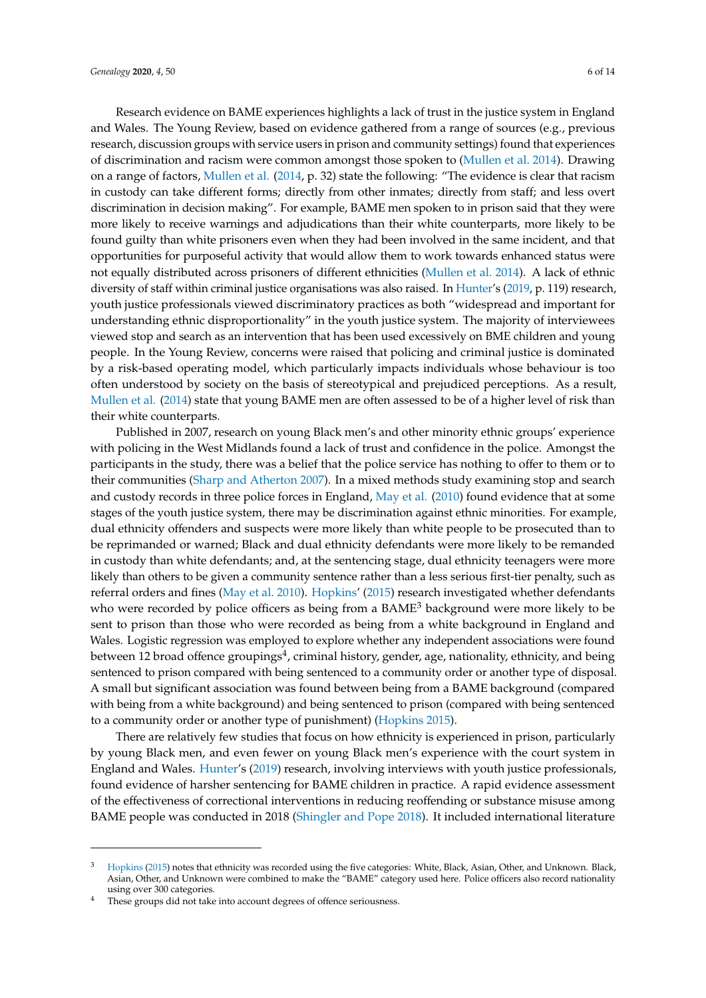Research evidence on BAME experiences highlights a lack of trust in the justice system in England and Wales. The Young Review, based on evidence gathered from a range of sources (e.g., previous research, discussion groups with service users in prison and community settings) found that experiences of discrimination and racism were common amongst those spoken to [\(Mullen et al.](#page-12-0) [2014\)](#page-12-0). Drawing on a range of factors, [Mullen et al.](#page-12-0) [\(2014,](#page-12-0) p. 32) state the following: "The evidence is clear that racism in custody can take different forms; directly from other inmates; directly from staff; and less overt discrimination in decision making". For example, BAME men spoken to in prison said that they were more likely to receive warnings and adjudications than their white counterparts, more likely to be found guilty than white prisoners even when they had been involved in the same incident, and that opportunities for purposeful activity that would allow them to work towards enhanced status were not equally distributed across prisoners of different ethnicities [\(Mullen et al.](#page-12-0) [2014\)](#page-12-0). A lack of ethnic diversity of staff within criminal justice organisations was also raised. In [Hunter'](#page-11-0)s [\(2019,](#page-11-0) p. 119) research, youth justice professionals viewed discriminatory practices as both "widespread and important for understanding ethnic disproportionality" in the youth justice system. The majority of interviewees viewed stop and search as an intervention that has been used excessively on BME children and young people. In the Young Review, concerns were raised that policing and criminal justice is dominated by a risk-based operating model, which particularly impacts individuals whose behaviour is too often understood by society on the basis of stereotypical and prejudiced perceptions. As a result, [Mullen et al.](#page-12-0) [\(2014\)](#page-12-0) state that young BAME men are often assessed to be of a higher level of risk than their white counterparts.

Published in 2007, research on young Black men's and other minority ethnic groups' experience with policing in the West Midlands found a lack of trust and confidence in the police. Amongst the participants in the study, there was a belief that the police service has nothing to offer to them or to their communities [\(Sharp and Atherton](#page-12-13) [2007\)](#page-12-13). In a mixed methods study examining stop and search and custody records in three police forces in England, [May et al.](#page-11-1) [\(2010\)](#page-11-1) found evidence that at some stages of the youth justice system, there may be discrimination against ethnic minorities. For example, dual ethnicity offenders and suspects were more likely than white people to be prosecuted than to be reprimanded or warned; Black and dual ethnicity defendants were more likely to be remanded in custody than white defendants; and, at the sentencing stage, dual ethnicity teenagers were more likely than others to be given a community sentence rather than a less serious first-tier penalty, such as referral orders and fines [\(May et al.](#page-11-1) [2010\)](#page-11-1). [Hopkins'](#page-11-2) [\(2015\)](#page-11-2) research investigated whether defendants who were recorded by police officers as being from a BAME<sup>3</sup> background were more likely to be sent to prison than those who were recorded as being from a white background in England and Wales. Logistic regression was employed to explore whether any independent associations were found between 12 broad offence groupings $^4$ , criminal history, gender, age, nationality, ethnicity, and being sentenced to prison compared with being sentenced to a community order or another type of disposal. A small but significant association was found between being from a BAME background (compared with being from a white background) and being sentenced to prison (compared with being sentenced to a community order or another type of punishment) [\(Hopkins](#page-11-2) [2015\)](#page-11-2).

There are relatively few studies that focus on how ethnicity is experienced in prison, particularly by young Black men, and even fewer on young Black men's experience with the court system in England and Wales. [Hunter'](#page-11-0)s [\(2019\)](#page-11-0) research, involving interviews with youth justice professionals, found evidence of harsher sentencing for BAME children in practice. A rapid evidence assessment of the effectiveness of correctional interventions in reducing reoffending or substance misuse among BAME people was conducted in 2018 [\(Shingler and Pope](#page-12-14) [2018\)](#page-12-14). It included international literature

<sup>&</sup>lt;sup>3</sup> [Hopkins](#page-11-2) [\(2015\)](#page-11-2) notes that ethnicity was recorded using the five categories: White, Black, Asian, Other, and Unknown. Black, Asian, Other, and Unknown were combined to make the "BAME" category used here. Police officers also record nationality using over 300 categories.

<sup>&</sup>lt;sup>4</sup> These groups did not take into account degrees of offence seriousness.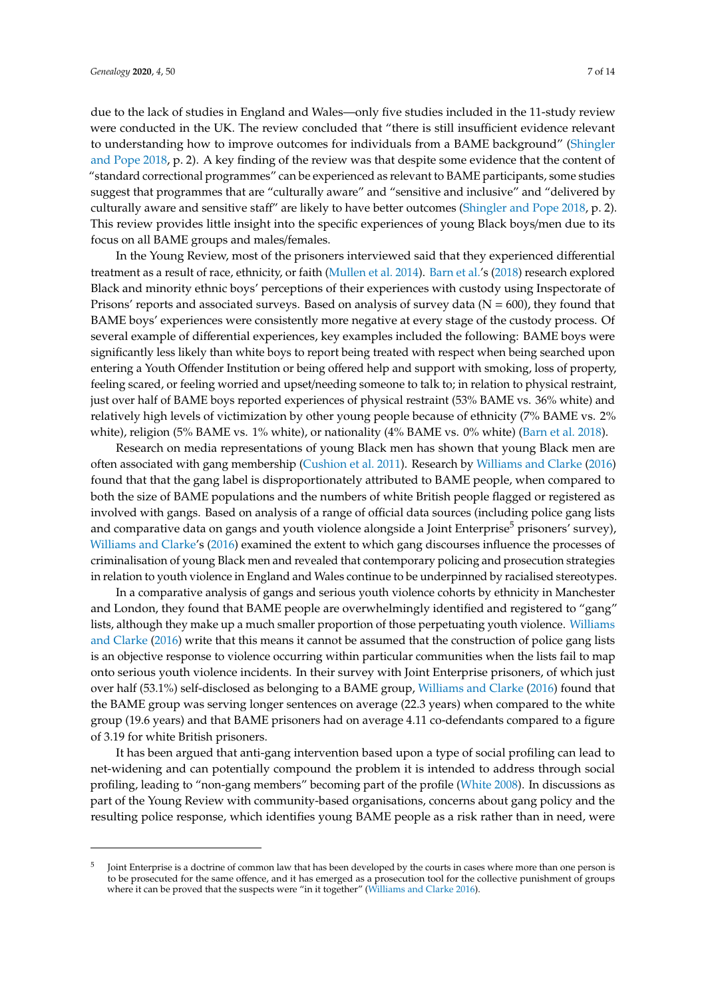due to the lack of studies in England and Wales—only five studies included in the 11-study review were conducted in the UK. The review concluded that "there is still insufficient evidence relevant to understanding how to improve outcomes for individuals from a BAME background" [\(Shingler](#page-12-14) [and Pope](#page-12-14) [2018,](#page-12-14) p. 2). A key finding of the review was that despite some evidence that the content of "standard correctional programmes" can be experienced as relevant to BAME participants, some studies suggest that programmes that are "culturally aware" and "sensitive and inclusive" and "delivered by culturally aware and sensitive staff" are likely to have better outcomes [\(Shingler and Pope](#page-12-14) [2018,](#page-12-14) p. 2). This review provides little insight into the specific experiences of young Black boys/men due to its focus on all BAME groups and males/females.

In the Young Review, most of the prisoners interviewed said that they experienced differential treatment as a result of race, ethnicity, or faith [\(Mullen et al.](#page-12-0) [2014\)](#page-12-0). [Barn et al.'](#page-10-0)s [\(2018\)](#page-10-0) research explored Black and minority ethnic boys' perceptions of their experiences with custody using Inspectorate of Prisons' reports and associated surveys. Based on analysis of survey data ( $N = 600$ ), they found that BAME boys' experiences were consistently more negative at every stage of the custody process. Of several example of differential experiences, key examples included the following: BAME boys were significantly less likely than white boys to report being treated with respect when being searched upon entering a Youth Offender Institution or being offered help and support with smoking, loss of property, feeling scared, or feeling worried and upset/needing someone to talk to; in relation to physical restraint, just over half of BAME boys reported experiences of physical restraint (53% BAME vs. 36% white) and relatively high levels of victimization by other young people because of ethnicity (7% BAME vs. 2% white), religion (5% BAME vs. 1% white), or nationality (4% BAME vs. 0% white) [\(Barn et al.](#page-10-0) [2018\)](#page-10-0).

Research on media representations of young Black men has shown that young Black men are often associated with gang membership [\(Cushion et al.](#page-10-9) [2011\)](#page-10-9). Research by [Williams and Clarke](#page-13-0) [\(2016\)](#page-13-0) found that that the gang label is disproportionately attributed to BAME people, when compared to both the size of BAME populations and the numbers of white British people flagged or registered as involved with gangs. Based on analysis of a range of official data sources (including police gang lists and comparative data on gangs and youth violence alongside a Joint Enterprise<sup>5</sup> prisoners' survey), [Williams and Clarke'](#page-13-0)s [\(2016\)](#page-13-0) examined the extent to which gang discourses influence the processes of criminalisation of young Black men and revealed that contemporary policing and prosecution strategies in relation to youth violence in England and Wales continue to be underpinned by racialised stereotypes.

In a comparative analysis of gangs and serious youth violence cohorts by ethnicity in Manchester and London, they found that BAME people are overwhelmingly identified and registered to "gang" lists, although they make up a much smaller proportion of those perpetuating youth violence. [Williams](#page-13-0) [and Clarke](#page-13-0) [\(2016\)](#page-13-0) write that this means it cannot be assumed that the construction of police gang lists is an objective response to violence occurring within particular communities when the lists fail to map onto serious youth violence incidents. In their survey with Joint Enterprise prisoners, of which just over half (53.1%) self-disclosed as belonging to a BAME group, [Williams and Clarke](#page-13-0) [\(2016\)](#page-13-0) found that the BAME group was serving longer sentences on average (22.3 years) when compared to the white group (19.6 years) and that BAME prisoners had on average 4.11 co-defendants compared to a figure of 3.19 for white British prisoners.

It has been argued that anti-gang intervention based upon a type of social profiling can lead to net-widening and can potentially compound the problem it is intended to address through social profiling, leading to "non-gang members" becoming part of the profile [\(White](#page-13-3) [2008\)](#page-13-3). In discussions as part of the Young Review with community-based organisations, concerns about gang policy and the resulting police response, which identifies young BAME people as a risk rather than in need, were

<sup>5</sup> Joint Enterprise is a doctrine of common law that has been developed by the courts in cases where more than one person is to be prosecuted for the same offence, and it has emerged as a prosecution tool for the collective punishment of groups where it can be proved that the suspects were "in it together" [\(Williams and Clarke](#page-13-0) [2016\)](#page-13-0).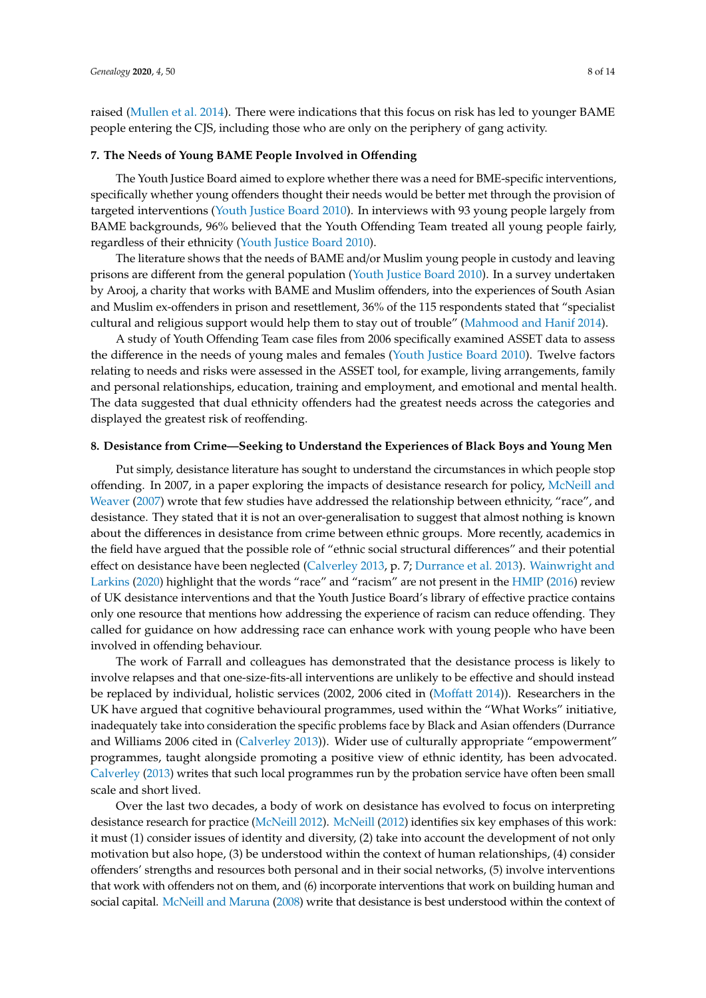raised [\(Mullen et al.](#page-12-0) [2014\)](#page-12-0). There were indications that this focus on risk has led to younger BAME people entering the CJS, including those who are only on the periphery of gang activity.

## **7. The Needs of Young BAME People Involved in O**ff**ending**

The Youth Justice Board aimed to explore whether there was a need for BME-specific interventions, specifically whether young offenders thought their needs would be better met through the provision of targeted interventions [\(Youth Justice Board](#page-13-2) [2010\)](#page-13-2). In interviews with 93 young people largely from BAME backgrounds, 96% believed that the Youth Offending Team treated all young people fairly, regardless of their ethnicity [\(Youth Justice Board](#page-13-2) [2010\)](#page-13-2).

The literature shows that the needs of BAME and/or Muslim young people in custody and leaving prisons are different from the general population [\(Youth Justice Board](#page-13-2) [2010\)](#page-13-2). In a survey undertaken by Arooj, a charity that works with BAME and Muslim offenders, into the experiences of South Asian and Muslim ex-offenders in prison and resettlement, 36% of the 115 respondents stated that "specialist cultural and religious support would help them to stay out of trouble" [\(Mahmood and Hanif](#page-11-14) [2014\)](#page-11-14).

A study of Youth Offending Team case files from 2006 specifically examined ASSET data to assess the difference in the needs of young males and females [\(Youth Justice Board](#page-13-2) [2010\)](#page-13-2). Twelve factors relating to needs and risks were assessed in the ASSET tool, for example, living arrangements, family and personal relationships, education, training and employment, and emotional and mental health. The data suggested that dual ethnicity offenders had the greatest needs across the categories and displayed the greatest risk of reoffending.

# **8. Desistance from Crime—Seeking to Understand the Experiences of Black Boys and Young Men**

Put simply, desistance literature has sought to understand the circumstances in which people stop offending. In 2007, in a paper exploring the impacts of desistance research for policy, [McNeill and](#page-12-15) [Weaver](#page-12-15) [\(2007\)](#page-12-15) wrote that few studies have addressed the relationship between ethnicity, "race", and desistance. They stated that it is not an over-generalisation to suggest that almost nothing is known about the differences in desistance from crime between ethnic groups. More recently, academics in the field have argued that the possible role of "ethnic social structural differences" and their potential effect on desistance have been neglected [\(Calverley](#page-10-1) [2013,](#page-10-1) p. 7; [Durrance et al.](#page-10-8) [2013\)](#page-10-8). [Wainwright and](#page-12-11) [Larkins](#page-12-11) [\(2020\)](#page-12-11) highlight that the words "race" and "racism" are not present in the [HMIP](#page-11-13) [\(2016\)](#page-11-13) review of UK desistance interventions and that the Youth Justice Board's library of effective practice contains only one resource that mentions how addressing the experience of racism can reduce offending. They called for guidance on how addressing race can enhance work with young people who have been involved in offending behaviour.

The work of Farrall and colleagues has demonstrated that the desistance process is likely to involve relapses and that one-size-fits-all interventions are unlikely to be effective and should instead be replaced by individual, holistic services (2002, 2006 cited in [\(Mo](#page-12-16)ffatt [2014\)](#page-12-16)). Researchers in the UK have argued that cognitive behavioural programmes, used within the "What Works" initiative, inadequately take into consideration the specific problems face by Black and Asian offenders (Durrance and Williams 2006 cited in [\(Calverley](#page-10-1) [2013\)](#page-10-1)). Wider use of culturally appropriate "empowerment" programmes, taught alongside promoting a positive view of ethnic identity, has been advocated. [Calverley](#page-10-1) [\(2013\)](#page-10-1) writes that such local programmes run by the probation service have often been small scale and short lived.

Over the last two decades, a body of work on desistance has evolved to focus on interpreting desistance research for practice [\(McNeill](#page-11-15) [2012\)](#page-11-15). [McNeill](#page-11-15) [\(2012\)](#page-11-15) identifies six key emphases of this work: it must (1) consider issues of identity and diversity, (2) take into account the development of not only motivation but also hope, (3) be understood within the context of human relationships, (4) consider offenders' strengths and resources both personal and in their social networks, (5) involve interventions that work with offenders not on them, and (6) incorporate interventions that work on building human and social capital. [McNeill and Maruna](#page-12-17) [\(2008\)](#page-12-17) write that desistance is best understood within the context of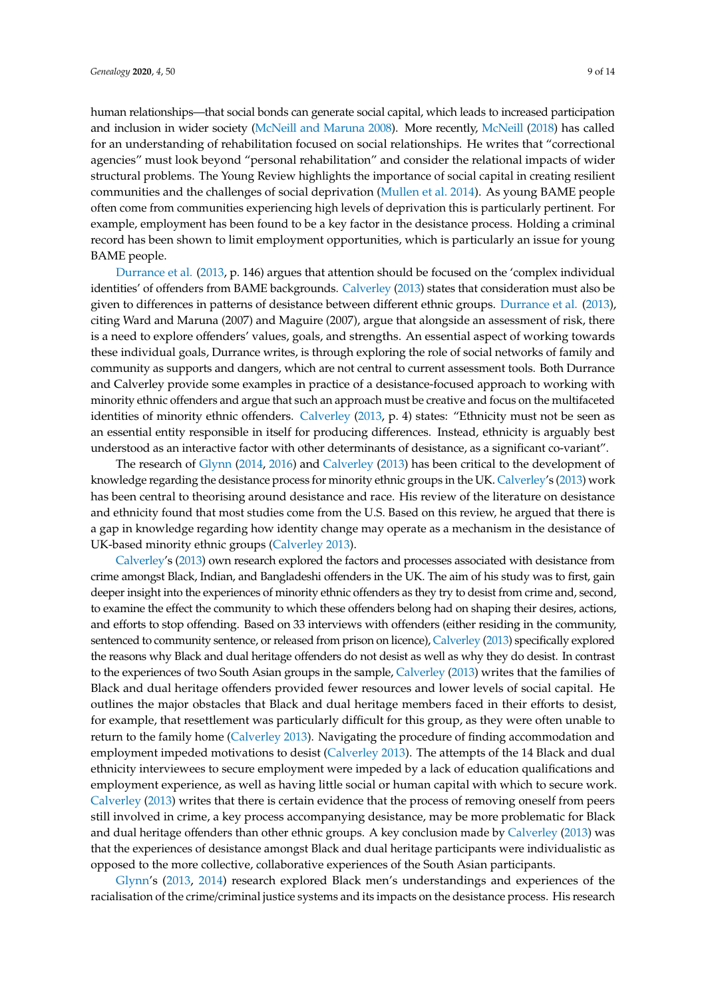human relationships—that social bonds can generate social capital, which leads to increased participation and inclusion in wider society [\(McNeill and Maruna](#page-12-17) [2008\)](#page-12-17). More recently, [McNeill](#page-12-18) [\(2018\)](#page-12-18) has called for an understanding of rehabilitation focused on social relationships. He writes that "correctional agencies" must look beyond "personal rehabilitation" and consider the relational impacts of wider structural problems. The Young Review highlights the importance of social capital in creating resilient communities and the challenges of social deprivation [\(Mullen et al.](#page-12-0) [2014\)](#page-12-0). As young BAME people often come from communities experiencing high levels of deprivation this is particularly pertinent. For example, employment has been found to be a key factor in the desistance process. Holding a criminal record has been shown to limit employment opportunities, which is particularly an issue for young BAME people.

[Durrance et al.](#page-10-8) [\(2013,](#page-10-8) p. 146) argues that attention should be focused on the 'complex individual identities' of offenders from BAME backgrounds. [Calverley](#page-10-1) [\(2013\)](#page-10-1) states that consideration must also be given to differences in patterns of desistance between different ethnic groups. [Durrance et al.](#page-10-8) [\(2013\)](#page-10-8), citing Ward and Maruna (2007) and Maguire (2007), argue that alongside an assessment of risk, there is a need to explore offenders' values, goals, and strengths. An essential aspect of working towards these individual goals, Durrance writes, is through exploring the role of social networks of family and community as supports and dangers, which are not central to current assessment tools. Both Durrance and Calverley provide some examples in practice of a desistance-focused approach to working with minority ethnic offenders and argue that such an approach must be creative and focus on the multifaceted identities of minority ethnic offenders. [Calverley](#page-10-1) [\(2013,](#page-10-1) p. 4) states: "Ethnicity must not be seen as an essential entity responsible in itself for producing differences. Instead, ethnicity is arguably best understood as an interactive factor with other determinants of desistance, as a significant co-variant".

The research of [Glynn](#page-11-3) [\(2014,](#page-11-3) [2016\)](#page-11-4) and [Calverley](#page-10-1) [\(2013\)](#page-10-1) has been critical to the development of knowledge regarding the desistance process for minority ethnic groups in the UK. [Calverley'](#page-10-1)s [\(2013\)](#page-10-1) work has been central to theorising around desistance and race. His review of the literature on desistance and ethnicity found that most studies come from the U.S. Based on this review, he argued that there is a gap in knowledge regarding how identity change may operate as a mechanism in the desistance of UK-based minority ethnic groups [\(Calverley](#page-10-1) [2013\)](#page-10-1).

[Calverley'](#page-10-1)s [\(2013\)](#page-10-1) own research explored the factors and processes associated with desistance from crime amongst Black, Indian, and Bangladeshi offenders in the UK. The aim of his study was to first, gain deeper insight into the experiences of minority ethnic offenders as they try to desist from crime and, second, to examine the effect the community to which these offenders belong had on shaping their desires, actions, and efforts to stop offending. Based on 33 interviews with offenders (either residing in the community, sentenced to community sentence, or released from prison on licence), [Calverley](#page-10-1) [\(2013\)](#page-10-1) specifically explored the reasons why Black and dual heritage offenders do not desist as well as why they do desist. In contrast to the experiences of two South Asian groups in the sample, [Calverley](#page-10-1) [\(2013\)](#page-10-1) writes that the families of Black and dual heritage offenders provided fewer resources and lower levels of social capital. He outlines the major obstacles that Black and dual heritage members faced in their efforts to desist, for example, that resettlement was particularly difficult for this group, as they were often unable to return to the family home [\(Calverley](#page-10-1) [2013\)](#page-10-1). Navigating the procedure of finding accommodation and employment impeded motivations to desist [\(Calverley](#page-10-1) [2013\)](#page-10-1). The attempts of the 14 Black and dual ethnicity interviewees to secure employment were impeded by a lack of education qualifications and employment experience, as well as having little social or human capital with which to secure work. [Calverley](#page-10-1) [\(2013\)](#page-10-1) writes that there is certain evidence that the process of removing oneself from peers still involved in crime, a key process accompanying desistance, may be more problematic for Black and dual heritage offenders than other ethnic groups. A key conclusion made by [Calverley](#page-10-1) [\(2013\)](#page-10-1) was that the experiences of desistance amongst Black and dual heritage participants were individualistic as opposed to the more collective, collaborative experiences of the South Asian participants.

[Glynn'](#page-11-16)s [\(2013,](#page-11-16) [2014\)](#page-11-3) research explored Black men's understandings and experiences of the racialisation of the crime/criminal justice systems and its impacts on the desistance process. His research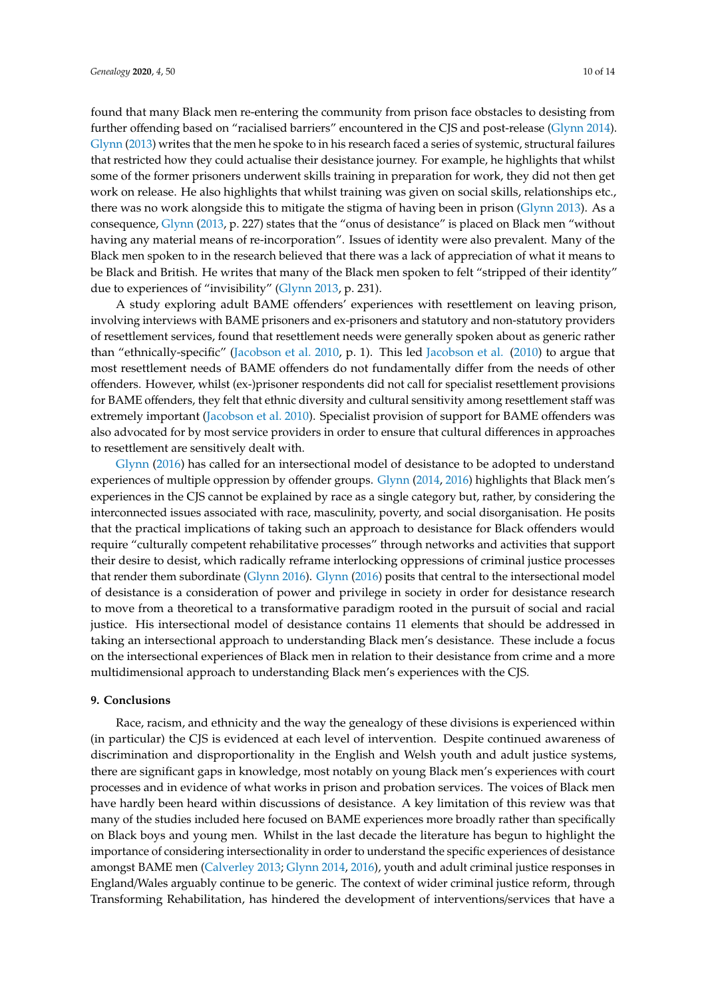found that many Black men re-entering the community from prison face obstacles to desisting from further offending based on "racialised barriers" encountered in the CJS and post-release [\(Glynn](#page-11-3) [2014\)](#page-11-3). [Glynn](#page-11-16) [\(2013\)](#page-11-16) writes that the men he spoke to in his research faced a series of systemic, structural failures that restricted how they could actualise their desistance journey. For example, he highlights that whilst some of the former prisoners underwent skills training in preparation for work, they did not then get work on release. He also highlights that whilst training was given on social skills, relationships etc., there was no work alongside this to mitigate the stigma of having been in prison [\(Glynn](#page-11-16) [2013\)](#page-11-16). As a consequence, [Glynn](#page-11-16) [\(2013,](#page-11-16) p. 227) states that the "onus of desistance" is placed on Black men "without having any material means of re-incorporation". Issues of identity were also prevalent. Many of the Black men spoken to in the research believed that there was a lack of appreciation of what it means to be Black and British. He writes that many of the Black men spoken to felt "stripped of their identity" due to experiences of "invisibility" [\(Glynn](#page-11-16) [2013,](#page-11-16) p. 231).

A study exploring adult BAME offenders' experiences with resettlement on leaving prison, involving interviews with BAME prisoners and ex-prisoners and statutory and non-statutory providers of resettlement services, found that resettlement needs were generally spoken about as generic rather than "ethnically-specific" [\(Jacobson et al.](#page-11-17) [2010,](#page-11-17) p. 1). This led [Jacobson et al.](#page-11-17) [\(2010\)](#page-11-17) to argue that most resettlement needs of BAME offenders do not fundamentally differ from the needs of other offenders. However, whilst (ex-)prisoner respondents did not call for specialist resettlement provisions for BAME offenders, they felt that ethnic diversity and cultural sensitivity among resettlement staff was extremely important [\(Jacobson et al.](#page-11-17) [2010\)](#page-11-17). Specialist provision of support for BAME offenders was also advocated for by most service providers in order to ensure that cultural differences in approaches to resettlement are sensitively dealt with.

[Glynn](#page-11-4) [\(2016\)](#page-11-4) has called for an intersectional model of desistance to be adopted to understand experiences of multiple oppression by offender groups. [Glynn](#page-11-3) [\(2014,](#page-11-3) [2016\)](#page-11-4) highlights that Black men's experiences in the CJS cannot be explained by race as a single category but, rather, by considering the interconnected issues associated with race, masculinity, poverty, and social disorganisation. He posits that the practical implications of taking such an approach to desistance for Black offenders would require "culturally competent rehabilitative processes" through networks and activities that support their desire to desist, which radically reframe interlocking oppressions of criminal justice processes that render them subordinate [\(Glynn](#page-11-4) [2016\)](#page-11-4). [Glynn](#page-11-4) [\(2016\)](#page-11-4) posits that central to the intersectional model of desistance is a consideration of power and privilege in society in order for desistance research to move from a theoretical to a transformative paradigm rooted in the pursuit of social and racial justice. His intersectional model of desistance contains 11 elements that should be addressed in taking an intersectional approach to understanding Black men's desistance. These include a focus on the intersectional experiences of Black men in relation to their desistance from crime and a more multidimensional approach to understanding Black men's experiences with the CJS.

# **9. Conclusions**

Race, racism, and ethnicity and the way the genealogy of these divisions is experienced within (in particular) the CJS is evidenced at each level of intervention. Despite continued awareness of discrimination and disproportionality in the English and Welsh youth and adult justice systems, there are significant gaps in knowledge, most notably on young Black men's experiences with court processes and in evidence of what works in prison and probation services. The voices of Black men have hardly been heard within discussions of desistance. A key limitation of this review was that many of the studies included here focused on BAME experiences more broadly rather than specifically on Black boys and young men. Whilst in the last decade the literature has begun to highlight the importance of considering intersectionality in order to understand the specific experiences of desistance amongst BAME men [\(Calverley](#page-10-1) [2013;](#page-10-1) [Glynn](#page-11-3) [2014,](#page-11-3) [2016\)](#page-11-4), youth and adult criminal justice responses in England/Wales arguably continue to be generic. The context of wider criminal justice reform, through Transforming Rehabilitation, has hindered the development of interventions/services that have a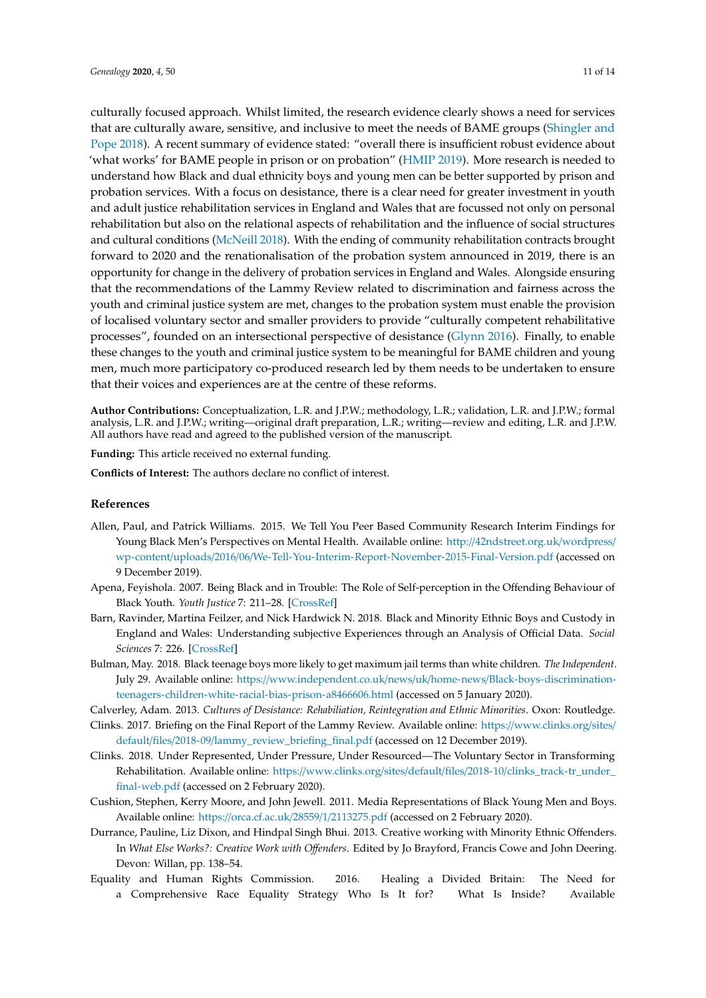culturally focused approach. Whilst limited, the research evidence clearly shows a need for services that are culturally aware, sensitive, and inclusive to meet the needs of BAME groups [\(Shingler and](#page-12-14) [Pope](#page-12-14) [2018\)](#page-12-14). A recent summary of evidence stated: "overall there is insufficient robust evidence about 'what works' for BAME people in prison or on probation" [\(HMIP](#page-11-5) [2019\)](#page-11-5). More research is needed to understand how Black and dual ethnicity boys and young men can be better supported by prison and probation services. With a focus on desistance, there is a clear need for greater investment in youth and adult justice rehabilitation services in England and Wales that are focussed not only on personal rehabilitation but also on the relational aspects of rehabilitation and the influence of social structures and cultural conditions [\(McNeill](#page-12-18) [2018\)](#page-12-18). With the ending of community rehabilitation contracts brought forward to 2020 and the renationalisation of the probation system announced in 2019, there is an opportunity for change in the delivery of probation services in England and Wales. Alongside ensuring that the recommendations of the Lammy Review related to discrimination and fairness across the youth and criminal justice system are met, changes to the probation system must enable the provision of localised voluntary sector and smaller providers to provide "culturally competent rehabilitative processes", founded on an intersectional perspective of desistance [\(Glynn](#page-11-4) [2016\)](#page-11-4). Finally, to enable these changes to the youth and criminal justice system to be meaningful for BAME children and young men, much more participatory co-produced research led by them needs to be undertaken to ensure that their voices and experiences are at the centre of these reforms.

**Author Contributions:** Conceptualization, L.R. and J.P.W.; methodology, L.R.; validation, L.R. and J.P.W.; formal analysis, L.R. and J.P.W.; writing—original draft preparation, L.R.; writing—review and editing, L.R. and J.P.W. All authors have read and agreed to the published version of the manuscript.

**Funding:** This article received no external funding.

**Conflicts of Interest:** The authors declare no conflict of interest.

# **References**

- <span id="page-10-4"></span>Allen, Paul, and Patrick Williams. 2015. We Tell You Peer Based Community Research Interim Findings for Young Black Men's Perspectives on Mental Health. Available online: http://[42ndstreet.org.uk](http://42ndstreet.org.uk/wordpress/wp-content/uploads/2016/06/We-Tell-You-Interim-Report-November-2015-Final-Version.pdf)/wordpress/ wp-content/uploads/2016/06/[We-Tell-You-Interim-Report-November-2015-Final-Version.pdf](http://42ndstreet.org.uk/wordpress/wp-content/uploads/2016/06/We-Tell-You-Interim-Report-November-2015-Final-Version.pdf) (accessed on 9 December 2019).
- <span id="page-10-7"></span>Apena, Feyishola. 2007. Being Black and in Trouble: The Role of Self-perception in the Offending Behaviour of Black Youth. *Youth Justice* 7: 211–28. [\[CrossRef\]](http://dx.doi.org/10.1177/1473225407082511)
- <span id="page-10-0"></span>Barn, Ravinder, Martina Feilzer, and Nick Hardwick N. 2018. Black and Minority Ethnic Boys and Custody in England and Wales: Understanding subjective Experiences through an Analysis of Official Data. *Social Sciences* 7: 226. [\[CrossRef\]](http://dx.doi.org/10.3390/socsci7110226)
- <span id="page-10-2"></span>Bulman, May. 2018. Black teenage boys more likely to get maximum jail terms than white children. *The Independent*. July 29. Available online: https://www.independent.co.uk/news/uk/home-news/[Black-boys-discrimination](https://www.independent.co.uk/news/uk/home-news/Black-boys-discrimination-teenagers-children-white-racial-bias-prison-a8466606.html)[teenagers-children-white-racial-bias-prison-a8466606.html](https://www.independent.co.uk/news/uk/home-news/Black-boys-discrimination-teenagers-children-white-racial-bias-prison-a8466606.html) (accessed on 5 January 2020).
- <span id="page-10-1"></span>Calverley, Adam. 2013. *Cultures of Desistance: Rehabiliation, Reintegration and Ethnic Minorities*. Oxon: Routledge.
- <span id="page-10-5"></span>Clinks. 2017. Briefing on the Final Report of the Lammy Review. Available online: https://[www.clinks.org](https://www.clinks.org/sites/default/files/2018-09/lammy_review_briefing_final.pdf)/sites/ default/files/2018-09/[lammy\\_review\\_briefing\\_final.pdf](https://www.clinks.org/sites/default/files/2018-09/lammy_review_briefing_final.pdf) (accessed on 12 December 2019).
- <span id="page-10-6"></span>Clinks. 2018. Under Represented, Under Pressure, Under Resourced—The Voluntary Sector in Transforming Rehabilitation. Available online: https://www.clinks.org/sites/default/files/2018-10/[clinks\\_track-tr\\_under\\_](https://www.clinks.org/sites/default/files/2018-10/clinks_track-tr_under_final-web.pdf) [final-web.pdf](https://www.clinks.org/sites/default/files/2018-10/clinks_track-tr_under_final-web.pdf) (accessed on 2 February 2020).
- <span id="page-10-9"></span>Cushion, Stephen, Kerry Moore, and John Jewell. 2011. Media Representations of Black Young Men and Boys. Available online: https://[orca.cf.ac.uk](https://orca.cf.ac.uk/28559/1/2113275.pdf)/28559/1/2113275.pdf (accessed on 2 February 2020).
- <span id="page-10-8"></span>Durrance, Pauline, Liz Dixon, and Hindpal Singh Bhui. 2013. Creative working with Minority Ethnic Offenders. In *What Else Works?: Creative Work with O*ff*enders*. Edited by Jo Brayford, Francis Cowe and John Deering. Devon: Willan, pp. 138–54.
- <span id="page-10-3"></span>Equality and Human Rights Commission. 2016. Healing a Divided Britain: The Need for a Comprehensive Race Equality Strategy Who Is It for? What Is Inside? Available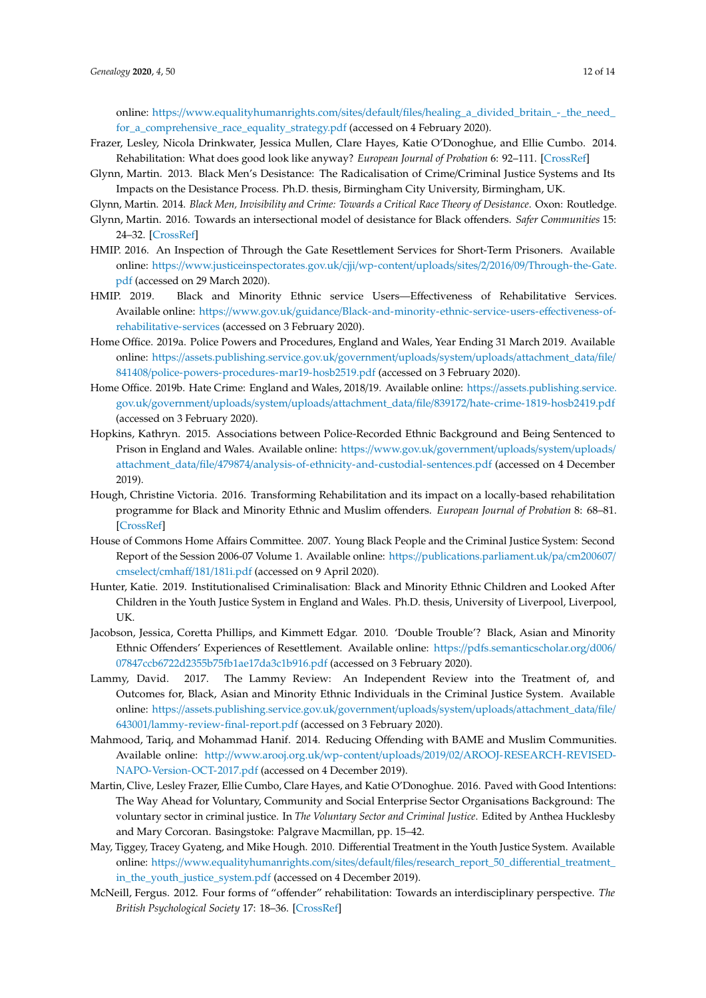online: https://www.equalityhumanrights.com/sites/default/files/[healing\\_a\\_divided\\_britain\\_-\\_the\\_need\\_](https://www.equalityhumanrights.com/sites/default/files/healing_a_divided_britain_-_the_need_for_a_comprehensive_race_equality_strategy.pdf) [for\\_a\\_comprehensive\\_race\\_equality\\_strategy.pdf](https://www.equalityhumanrights.com/sites/default/files/healing_a_divided_britain_-_the_need_for_a_comprehensive_race_equality_strategy.pdf) (accessed on 4 February 2020).

- <span id="page-11-11"></span>Frazer, Lesley, Nicola Drinkwater, Jessica Mullen, Clare Hayes, Katie O'Donoghue, and Ellie Cumbo. 2014. Rehabilitation: What does good look like anyway? *European Journal of Probation* 6: 92–111. [\[CrossRef\]](http://dx.doi.org/10.1177/2066220314540566)
- <span id="page-11-16"></span>Glynn, Martin. 2013. Black Men's Desistance: The Radicalisation of Crime/Criminal Justice Systems and Its Impacts on the Desistance Process. Ph.D. thesis, Birmingham City University, Birmingham, UK.
- <span id="page-11-3"></span>Glynn, Martin. 2014. *Black Men, Invisibility and Crime: Towards a Critical Race Theory of Desistance*. Oxon: Routledge.
- <span id="page-11-4"></span>Glynn, Martin. 2016. Towards an intersectional model of desistance for Black offenders. *Safer Communities* 15: 24–32. [\[CrossRef\]](http://dx.doi.org/10.1108/SC-05-2015-0016)
- <span id="page-11-13"></span>HMIP. 2016. An Inspection of Through the Gate Resettlement Services for Short-Term Prisoners. Available online: https://[www.justiceinspectorates.gov.uk](https://www.justiceinspectorates.gov.uk/cjji/wp-content/uploads/sites/2/2016/09/Through-the-Gate.pdf)/cjji/wp-content/uploads/sites/2/2016/09/Through-the-Gate. [pdf](https://www.justiceinspectorates.gov.uk/cjji/wp-content/uploads/sites/2/2016/09/Through-the-Gate.pdf) (accessed on 29 March 2020).
- <span id="page-11-5"></span>HMIP. 2019. Black and Minority Ethnic service Users—Effectiveness of Rehabilitative Services. Available online: https://www.gov.uk/guidance/[Black-and-minority-ethnic-service-users-e](https://www.gov.uk/guidance/Black-and-minority-ethnic-service-users-effectiveness-of-rehabilitative-services)ffectiveness-of[rehabilitative-services](https://www.gov.uk/guidance/Black-and-minority-ethnic-service-users-effectiveness-of-rehabilitative-services) (accessed on 3 February 2020).
- <span id="page-11-6"></span>Home Office. 2019a. Police Powers and Procedures, England and Wales, Year Ending 31 March 2019. Available online: https://[assets.publishing.service.gov.uk](https://assets.publishing.service.gov.uk/government/uploads/system/uploads/attachment_data/file/841408/police-powers-procedures-mar19-hosb2519.pdf)/government/uploads/system/uploads/attachment\_data/file/ 841408/[police-powers-procedures-mar19-hosb2519.pdf](https://assets.publishing.service.gov.uk/government/uploads/system/uploads/attachment_data/file/841408/police-powers-procedures-mar19-hosb2519.pdf) (accessed on 3 February 2020).
- <span id="page-11-7"></span>Home Office. 2019b. Hate Crime: England and Wales, 2018/19. Available online: https://[assets.publishing.service.](https://assets.publishing.service.gov.uk/government/uploads/system/uploads/attachment_data/file/839172/hate-crime-1819-hosb2419.pdf) gov.uk/government/uploads/system/uploads/attachment\_data/file/839172/[hate-crime-1819-hosb2419.pdf](https://assets.publishing.service.gov.uk/government/uploads/system/uploads/attachment_data/file/839172/hate-crime-1819-hosb2419.pdf) (accessed on 3 February 2020).
- <span id="page-11-2"></span>Hopkins, Kathryn. 2015. Associations between Police-Recorded Ethnic Background and Being Sentenced to Prison in England and Wales. Available online: https://[www.gov.uk](https://www.gov.uk/government/uploads/system/uploads/attachment_data/file/479874/analysis-of-ethnicity-and-custodial-sentences.pdf)/government/uploads/system/uploads/ attachment\_data/file/479874/[analysis-of-ethnicity-and-custodial-sentences.pdf](https://www.gov.uk/government/uploads/system/uploads/attachment_data/file/479874/analysis-of-ethnicity-and-custodial-sentences.pdf) (accessed on 4 December 2019).
- <span id="page-11-12"></span>Hough, Christine Victoria. 2016. Transforming Rehabilitation and its impact on a locally-based rehabilitation programme for Black and Minority Ethnic and Muslim offenders. *European Journal of Probation* 8: 68–81. [\[CrossRef\]](http://dx.doi.org/10.1177/2066220316660433)
- <span id="page-11-8"></span>House of Commons Home Affairs Committee. 2007. Young Black People and the Criminal Justice System: Second Report of the Session 2006-07 Volume 1. Available online: https://[publications.parliament.uk](https://publications.parliament.uk/pa/cm200607/cmselect/cmhaff/181/181i.pdf)/pa/cm200607/ [cmselect](https://publications.parliament.uk/pa/cm200607/cmselect/cmhaff/181/181i.pdf)/cmhaff/181/181i.pdf (accessed on 9 April 2020).
- <span id="page-11-0"></span>Hunter, Katie. 2019. Institutionalised Criminalisation: Black and Minority Ethnic Children and Looked After Children in the Youth Justice System in England and Wales. Ph.D. thesis, University of Liverpool, Liverpool, UK.
- <span id="page-11-17"></span>Jacobson, Jessica, Coretta Phillips, and Kimmett Edgar. 2010. 'Double Trouble'? Black, Asian and Minority Ethnic Offenders' Experiences of Resettlement. Available online: https://[pdfs.semanticscholar.org](https://pdfs.semanticscholar.org/d006/07847ccb6722d2355b75fb1ae17da3c1b916.pdf)/d006/ [07847ccb6722d2355b75fb1ae17da3c1b916.pdf](https://pdfs.semanticscholar.org/d006/07847ccb6722d2355b75fb1ae17da3c1b916.pdf) (accessed on 3 February 2020).
- <span id="page-11-9"></span>Lammy, David. 2017. The Lammy Review: An Independent Review into the Treatment of, and Outcomes for, Black, Asian and Minority Ethnic Individuals in the Criminal Justice System. Available online: https://[assets.publishing.service.gov.uk](https://assets.publishing.service.gov.uk/government/uploads/system/uploads/attachment_data/file/643001/lammy-review-final-report.pdf)/government/uploads/system/uploads/attachment\_data/file/ 643001/[lammy-review-final-report.pdf](https://assets.publishing.service.gov.uk/government/uploads/system/uploads/attachment_data/file/643001/lammy-review-final-report.pdf) (accessed on 3 February 2020).
- <span id="page-11-14"></span>Mahmood, Tariq, and Mohammad Hanif. 2014. Reducing Offending with BAME and Muslim Communities. Available online: http://www.arooj.org.uk/wp-content/uploads/2019/02/[AROOJ-RESEARCH-REVISED-](http://www.arooj.org.uk/wp-content/uploads/2019/02/AROOJ-RESEARCH-REVISED-NAPO-Version-OCT-2017.pdf)[NAPO-Version-OCT-2017.pdf](http://www.arooj.org.uk/wp-content/uploads/2019/02/AROOJ-RESEARCH-REVISED-NAPO-Version-OCT-2017.pdf) (accessed on 4 December 2019).
- <span id="page-11-10"></span>Martin, Clive, Lesley Frazer, Ellie Cumbo, Clare Hayes, and Katie O'Donoghue. 2016. Paved with Good Intentions: The Way Ahead for Voluntary, Community and Social Enterprise Sector Organisations Background: The voluntary sector in criminal justice. In *The Voluntary Sector and Criminal Justice*. Edited by Anthea Hucklesby and Mary Corcoran. Basingstoke: Palgrave Macmillan, pp. 15–42.
- <span id="page-11-1"></span>May, Tiggey, Tracey Gyateng, and Mike Hough. 2010. Differential Treatment in the Youth Justice System. Available online: https://[www.equalityhumanrights.com](https://www.equalityhumanrights.com/sites/default/files/research_report_50_differential_treatment_in_the_youth_justice_system.pdf)/sites/default/files/research\_report\_50\_differential\_treatment\_ [in\\_the\\_youth\\_justice\\_system.pdf](https://www.equalityhumanrights.com/sites/default/files/research_report_50_differential_treatment_in_the_youth_justice_system.pdf) (accessed on 4 December 2019).
- <span id="page-11-15"></span>McNeill, Fergus. 2012. Four forms of "offender" rehabilitation: Towards an interdisciplinary perspective. *The British Psychological Society* 17: 18–36. [\[CrossRef\]](http://dx.doi.org/10.1111/j.2044-8333.2011.02039.x)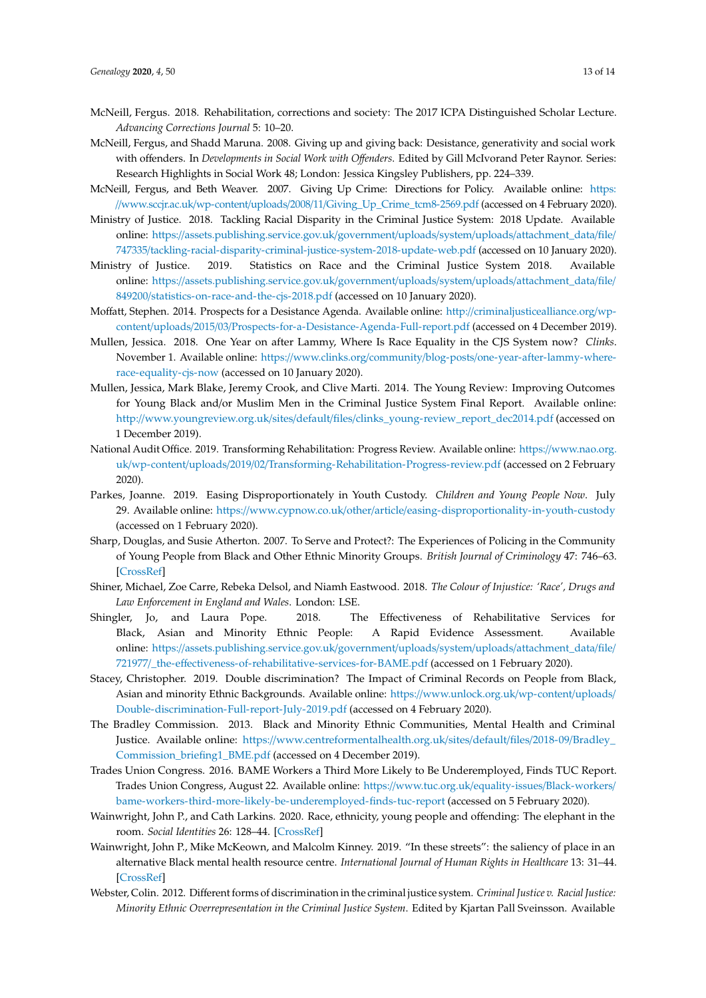- <span id="page-12-18"></span>McNeill, Fergus. 2018. Rehabilitation, corrections and society: The 2017 ICPA Distinguished Scholar Lecture. *Advancing Corrections Journal* 5: 10–20.
- <span id="page-12-17"></span>McNeill, Fergus, and Shadd Maruna. 2008. Giving up and giving back: Desistance, generativity and social work with offenders. In *Developments in Social Work with O*ff*enders*. Edited by Gill McIvorand Peter Raynor. Series: Research Highlights in Social Work 48; London: Jessica Kingsley Publishers, pp. 224–339.
- <span id="page-12-15"></span>McNeill, Fergus, and Beth Weaver. 2007. Giving Up Crime: Directions for Policy. Available online: [https:](https://www.sccjr.ac.uk/wp-content/uploads/2008/11/Giving_Up_Crime_tcm8-2569.pdf) //www.sccjr.ac.uk/wp-content/uploads/2008/11/[Giving\\_Up\\_Crime\\_tcm8-2569.pdf](https://www.sccjr.ac.uk/wp-content/uploads/2008/11/Giving_Up_Crime_tcm8-2569.pdf) (accessed on 4 February 2020).
- <span id="page-12-7"></span>Ministry of Justice. 2018. Tackling Racial Disparity in the Criminal Justice System: 2018 Update. Available online: https://[assets.publishing.service.gov.uk](https://assets.publishing.service.gov.uk/government/uploads/system/uploads/attachment_data/file/747335/tackling-racial-disparity-criminal-justice-system-2018-update-web.pdf)/government/uploads/system/uploads/attachment\_data/file/ 747335/[tackling-racial-disparity-criminal-justice-system-2018-update-web.pdf](https://assets.publishing.service.gov.uk/government/uploads/system/uploads/attachment_data/file/747335/tackling-racial-disparity-criminal-justice-system-2018-update-web.pdf) (accessed on 10 January 2020).
- <span id="page-12-1"></span>Ministry of Justice. 2019. Statistics on Race and the Criminal Justice System 2018. Available online: https://[assets.publishing.service.gov.uk](https://assets.publishing.service.gov.uk/government/uploads/system/uploads/attachment_data/file/849200/statistics-on-race-and-the-cjs-2018.pdf)/government/uploads/system/uploads/attachment\_data/file/ 849200/[statistics-on-race-and-the-cjs-2018.pdf](https://assets.publishing.service.gov.uk/government/uploads/system/uploads/attachment_data/file/849200/statistics-on-race-and-the-cjs-2018.pdf) (accessed on 10 January 2020).
- <span id="page-12-16"></span>Moffatt, Stephen. 2014. Prospects for a Desistance Agenda. Available online: http://[criminaljusticealliance.org](http://criminaljusticealliance.org/wp-content/uploads/2015/03/Prospects-for-a-Desistance-Agenda-Full-report.pdf)/wpcontent/uploads/2015/03/[Prospects-for-a-Desistance-Agenda-Full-report.pdf](http://criminaljusticealliance.org/wp-content/uploads/2015/03/Prospects-for-a-Desistance-Agenda-Full-report.pdf) (accessed on 4 December 2019).
- <span id="page-12-8"></span>Mullen, Jessica. 2018. One Year on after Lammy, Where Is Race Equality in the CJS System now? *Clinks*. November 1. Available online: https://www.clinks.org/community/blog-posts/[one-year-after-lammy-where](https://www.clinks.org/community/blog-posts/one-year-after-lammy-where-race-equality-cjs-now)[race-equality-cjs-now](https://www.clinks.org/community/blog-posts/one-year-after-lammy-where-race-equality-cjs-now) (accessed on 10 January 2020).
- <span id="page-12-0"></span>Mullen, Jessica, Mark Blake, Jeremy Crook, and Clive Marti. 2014. The Young Review: Improving Outcomes for Young Black and/or Muslim Men in the Criminal Justice System Final Report. Available online: http://www.youngreview.org.uk/sites/default/files/[clinks\\_young-review\\_report\\_dec2014.pdf](http://www.youngreview.org.uk/sites/default/files/clinks_young-review_report_dec2014.pdf) (accessed on 1 December 2019).
- <span id="page-12-10"></span>National Audit Office. 2019. Transforming Rehabilitation: Progress Review. Available online: https://[www.nao.org.](https://www.nao.org.uk/wp-content/uploads/2019/02/Transforming-Rehabilitation-Progress-review.pdf) uk/wp-content/uploads/2019/02/[Transforming-Rehabilitation-Progress-review.pdf](https://www.nao.org.uk/wp-content/uploads/2019/02/Transforming-Rehabilitation-Progress-review.pdf) (accessed on 2 February 2020).
- <span id="page-12-9"></span>Parkes, Joanne. 2019. Easing Disproportionately in Youth Custody. *Children and Young People Now*. July 29. Available online: https://www.cypnow.co.uk/other/article/[easing-disproportionality-in-youth-custody](https://www.cypnow.co.uk/other/article/easing-disproportionality-in-youth-custody) (accessed on 1 February 2020).
- <span id="page-12-13"></span>Sharp, Douglas, and Susie Atherton. 2007. To Serve and Protect?: The Experiences of Policing in the Community of Young People from Black and Other Ethnic Minority Groups. *British Journal of Criminology* 47: 746–63. [\[CrossRef\]](http://dx.doi.org/10.1093/bjc/azm024)
- <span id="page-12-2"></span>Shiner, Michael, Zoe Carre, Rebeka Delsol, and Niamh Eastwood. 2018. *The Colour of Injustice: 'Race', Drugs and Law Enforcement in England and Wales*. London: LSE.
- <span id="page-12-14"></span>Shingler, Jo, and Laura Pope. 2018. The Effectiveness of Rehabilitative Services for Black, Asian and Minority Ethnic People: A Rapid Evidence Assessment. Available online: https://[assets.publishing.service.gov.uk](https://assets.publishing.service.gov.uk/government/uploads/system/uploads/attachment_data/file/721977/_the-effectiveness-of-rehabilitative-services-for-BAME.pdf)/government/uploads/system/uploads/attachment\_data/file/ 721977/\_the-eff[ectiveness-of-rehabilitative-services-for-BAME.pdf](https://assets.publishing.service.gov.uk/government/uploads/system/uploads/attachment_data/file/721977/_the-effectiveness-of-rehabilitative-services-for-BAME.pdf) (accessed on 1 February 2020).
- <span id="page-12-3"></span>Stacey, Christopher. 2019. Double discrimination? The Impact of Criminal Records on People from Black, Asian and minority Ethnic Backgrounds. Available online: https://[www.unlock.org.uk](https://www.unlock.org.uk/wp-content/uploads/Double-discrimination-Full-report-July-2019.pdf)/wp-content/uploads/ [Double-discrimination-Full-report-July-2019.pdf](https://www.unlock.org.uk/wp-content/uploads/Double-discrimination-Full-report-July-2019.pdf) (accessed on 4 February 2020).
- <span id="page-12-4"></span>The Bradley Commission. 2013. Black and Minority Ethnic Communities, Mental Health and Criminal Justice. Available online: https://[www.centreformentalhealth.org.uk](https://www.centreformentalhealth.org.uk/sites/default/files/2018-09/Bradley_Commission_briefing1_BME.pdf)/sites/default/files/2018-09/Bradley\_ [Commission\\_briefing1\\_BME.pdf](https://www.centreformentalhealth.org.uk/sites/default/files/2018-09/Bradley_Commission_briefing1_BME.pdf) (accessed on 4 December 2019).
- <span id="page-12-5"></span>Trades Union Congress. 2016. BAME Workers a Third More Likely to Be Underemployed, Finds TUC Report. Trades Union Congress, August 22. Available online: https://[www.tuc.org.uk](https://www.tuc.org.uk/equality-issues/Black-workers/bame-workers-third-more-likely-be-underemployed-finds-tuc-report)/equality-issues/Black-workers/ [bame-workers-third-more-likely-be-underemployed-finds-tuc-report](https://www.tuc.org.uk/equality-issues/Black-workers/bame-workers-third-more-likely-be-underemployed-finds-tuc-report) (accessed on 5 February 2020).
- <span id="page-12-11"></span>Wainwright, John P., and Cath Larkins. 2020. Race, ethnicity, young people and offending: The elephant in the room. *Social Identities* 26: 128–44. [\[CrossRef\]](http://dx.doi.org/10.1080/13504630.2019.1684887)
- <span id="page-12-6"></span>Wainwright, John P., Mike McKeown, and Malcolm Kinney. 2019. "In these streets": the saliency of place in an alternative Black mental health resource centre. *International Journal of Human Rights in Healthcare* 13: 31–44. [\[CrossRef\]](http://dx.doi.org/10.1108/IJHRH-08-2019-0062)
- <span id="page-12-12"></span>Webster, Colin. 2012. Different forms of discrimination in the criminal justice system. *Criminal Justice v. Racial Justice: Minority Ethnic Overrepresentation in the Criminal Justice System*. Edited by Kjartan Pall Sveinsson. Available